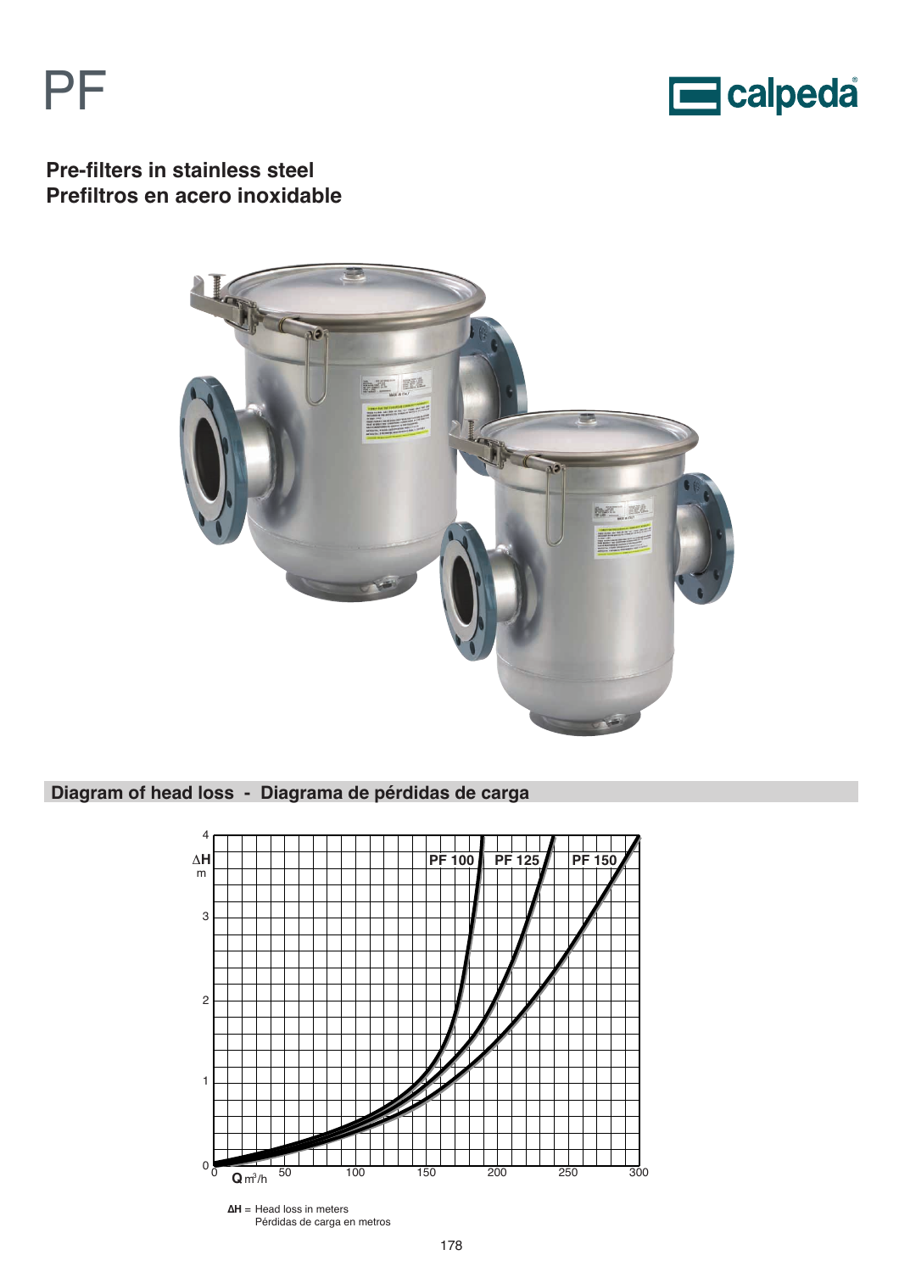



**Pre-filters in stainless steel Prefiltros en acero inoxidable**



## **Diagram of head loss - Diagrama de pérdidas de carga**

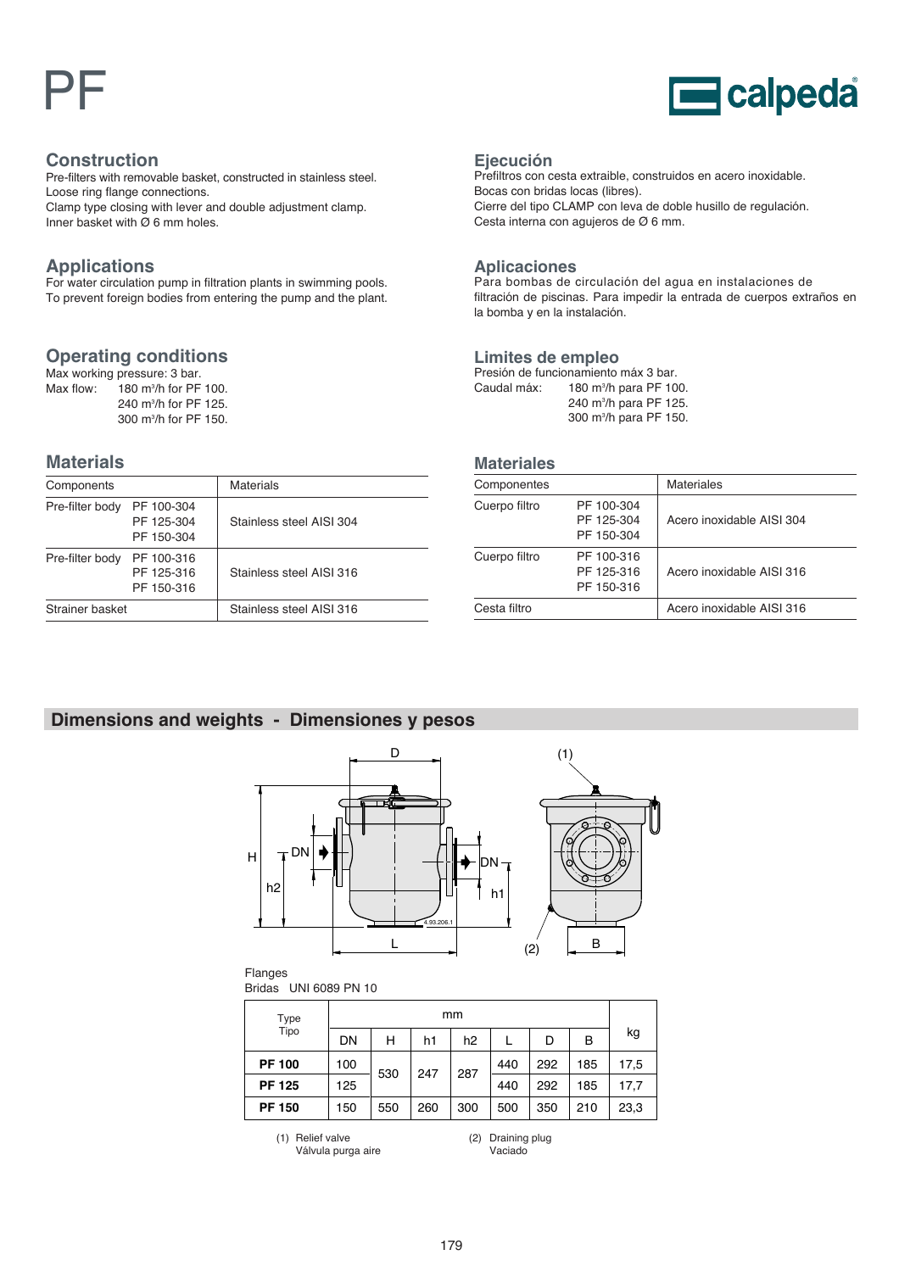# PF



#### **Construction**

Pre-filters with removable basket, constructed in stainless steel. Loose ring flange connections.

Clamp type closing with lever and double adjustment clamp. Inner basket with  $\overline{\varnothing}$  6 mm holes.

## **Applications**

For water circulation pump in filtration plants in swimming pools. To prevent foreign bodies from entering the pump and the plant.

## **Operating conditions**

Max working pressure: 3 bar. Max flow:  $180$  m<sup>3</sup>/h for PF 100. 240 m3 /h for PF 125. 300 m3 /h for PF 150.

## **Materials**

| Components      |                                        | Materials                |
|-----------------|----------------------------------------|--------------------------|
| Pre-filter body | PF 100-304<br>PF 125-304<br>PF 150-304 | Stainless steel AISI 304 |
| Pre-filter body | PF 100-316<br>PF 125-316<br>PF 150-316 | Stainless steel AISI 316 |
| Strainer basket |                                        | Stainless steel AISI 316 |

#### **Ejecución**

Prefiltros con cesta extraible, construidos en acero inoxidable. Bocas con bridas locas (libres). Cierre del tipo CLAMP con leva de doble husillo de regulación. Cesta interna con agujeros de Ø 6 mm.

#### **Aplicaciones**

Para bombas de circulación del agua en instalaciones de filtración de piscinas. Para impedir la entrada de cuerpos extraños en la bomba y en la instalación.

#### **Limites de empleo**

Presión de funcionamiento máx 3 bar. Caudal máx: 180 m<sup>3</sup>/h para PF 100. 240 m3 /h para PF 125. 300 m3 /h para PF 150.

#### **Materiales**

| Componentes   |                                        | <b>Materiales</b>         |  |  |
|---------------|----------------------------------------|---------------------------|--|--|
| Cuerpo filtro | PF 100-304<br>PF 125-304<br>PF 150-304 | Acero inoxidable AISI 304 |  |  |
| Cuerpo filtro | PF 100-316<br>PF 125-316<br>PF 150-316 | Acero inoxidable AISI 316 |  |  |
| Cesta filtro  |                                        | Acero inoxidable AISI 316 |  |  |

## **Dimensions and weights - Dimensiones y pesos**



Flanges

Bridas UNI 6089 PN 10

| <b>Type</b>   | mm  |     |     |                |     |     |     |      |
|---------------|-----|-----|-----|----------------|-----|-----|-----|------|
| Tipo          | DN  | н   | h1  | h <sub>2</sub> |     | D   | В   | kg   |
| <b>PF 100</b> | 100 | 530 | 247 | 287            | 440 | 292 | 185 | 17,5 |
| <b>PF 125</b> | 125 |     |     |                | 440 | 292 | 185 | 17.7 |
| <b>PF 150</b> | 150 | 550 | 260 | 300            | 500 | 350 | 210 | 23,3 |

(1) Relief valve

Válvula purga aire

(2) Draining plug Vaciado